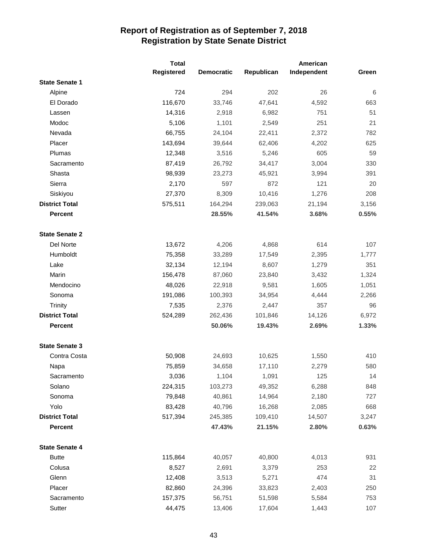|                       | <b>Total</b> |                   | American   |             |       |
|-----------------------|--------------|-------------------|------------|-------------|-------|
|                       | Registered   | <b>Democratic</b> | Republican | Independent | Green |
| <b>State Senate 1</b> |              |                   |            |             |       |
| Alpine                | 724          | 294               | 202        | 26          | 6     |
| El Dorado             | 116,670      | 33,746            | 47,641     | 4,592       | 663   |
| Lassen                | 14,316       | 2,918             | 6,982      | 751         | 51    |
| Modoc                 | 5,106        | 1,101             | 2,549      | 251         | 21    |
| Nevada                | 66,755       | 24,104            | 22,411     | 2,372       | 782   |
| Placer                | 143,694      | 39,644            | 62,406     | 4,202       | 625   |
| Plumas                | 12,348       | 3,516             | 5,246      | 605         | 59    |
| Sacramento            | 87,419       | 26,792            | 34,417     | 3,004       | 330   |
| Shasta                | 98,939       | 23,273            | 45,921     | 3,994       | 391   |
| Sierra                | 2,170        | 597               | 872        | 121         | 20    |
| Siskiyou              | 27,370       | 8,309             | 10,416     | 1,276       | 208   |
| <b>District Total</b> | 575,511      | 164,294           | 239,063    | 21,194      | 3,156 |
| <b>Percent</b>        |              | 28.55%            | 41.54%     | 3.68%       | 0.55% |
| <b>State Senate 2</b> |              |                   |            |             |       |
| Del Norte             | 13,672       | 4,206             | 4,868      | 614         | 107   |
| Humboldt              | 75,358       | 33,289            | 17,549     | 2,395       | 1,777 |
| Lake                  | 32,134       | 12,194            | 8,607      | 1,279       | 351   |
| Marin                 | 156,478      | 87,060            | 23,840     | 3,432       | 1,324 |
| Mendocino             | 48,026       | 22,918            | 9,581      | 1,605       | 1,051 |
| Sonoma                | 191,086      | 100,393           | 34,954     | 4,444       | 2,266 |
| <b>Trinity</b>        | 7,535        | 2,376             | 2,447      | 357         | 96    |
| <b>District Total</b> | 524,289      | 262,436           | 101,846    | 14,126      | 6,972 |
| <b>Percent</b>        |              | 50.06%            | 19.43%     | 2.69%       | 1.33% |
| <b>State Senate 3</b> |              |                   |            |             |       |
| Contra Costa          | 50,908       | 24,693            | 10,625     | 1,550       | 410   |
| Napa                  | 75,859       | 34,658            | 17,110     | 2,279       | 580   |
| Sacramento            | 3,036        | 1,104             | 1,091      | 125         | 14    |
| Solano                | 224,315      | 103,273           | 49,352     | 6,288       | 848   |
| Sonoma                | 79,848       | 40,861            | 14,964     | 2,180       | 727   |
| Yolo                  | 83,428       | 40,796            | 16,268     | 2,085       | 668   |
| <b>District Total</b> | 517,394      | 245,385           | 109,410    | 14,507      | 3,247 |
| <b>Percent</b>        |              | 47.43%            | 21.15%     | 2.80%       | 0.63% |
| <b>State Senate 4</b> |              |                   |            |             |       |
| <b>Butte</b>          | 115,864      | 40,057            | 40,800     | 4,013       | 931   |
| Colusa                | 8,527        | 2,691             | 3,379      | 253         | 22    |
| Glenn                 | 12,408       | 3,513             | 5,271      | 474         | 31    |
| Placer                | 82,860       | 24,396            | 33,823     | 2,403       | 250   |
| Sacramento            | 157,375      | 56,751            | 51,598     | 5,584       | 753   |
| Sutter                | 44,475       | 13,406            | 17,604     | 1,443       | 107   |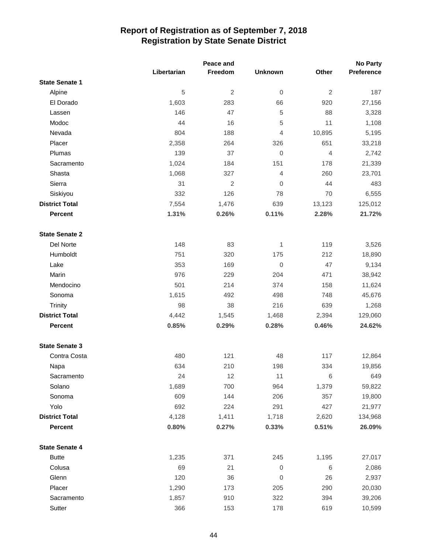|                       |             | Peace and      |                  | <b>No Party</b> |            |
|-----------------------|-------------|----------------|------------------|-----------------|------------|
|                       | Libertarian | Freedom        | <b>Unknown</b>   | Other           | Preference |
| <b>State Senate 1</b> |             |                |                  |                 |            |
| Alpine                | 5           | $\overline{2}$ | $\boldsymbol{0}$ | $\overline{2}$  | 187        |
| El Dorado             | 1,603       | 283            | 66               | 920             | 27,156     |
| Lassen                | 146         | 47             | 5                | 88              | 3,328      |
| Modoc                 | 44          | 16             | 5                | 11              | 1,108      |
| Nevada                | 804         | 188            | $\overline{4}$   | 10,895          | 5,195      |
| Placer                | 2,358       | 264            | 326              | 651             | 33,218     |
| Plumas                | 139         | 37             | $\boldsymbol{0}$ | $\overline{4}$  | 2,742      |
| Sacramento            | 1,024       | 184            | 151              | 178             | 21,339     |
| Shasta                | 1,068       | 327            | $\overline{4}$   | 260             | 23,701     |
| Sierra                | 31          | $\overline{2}$ | $\mathbf{0}$     | 44              | 483        |
| Siskiyou              | 332         | 126            | 78               | 70              | 6,555      |
| <b>District Total</b> | 7,554       | 1,476          | 639              | 13,123          | 125,012    |
| <b>Percent</b>        | 1.31%       | 0.26%          | 0.11%            | 2.28%           | 21.72%     |
| <b>State Senate 2</b> |             |                |                  |                 |            |
| Del Norte             | 148         | 83             | 1                | 119             | 3,526      |
| Humboldt              | 751         | 320            | 175              | 212             | 18,890     |
| Lake                  | 353         | 169            | $\mathbf 0$      | 47              | 9,134      |
| Marin                 | 976         | 229            | 204              | 471             | 38,942     |
| Mendocino             | 501         | 214            | 374              | 158             | 11,624     |
| Sonoma                | 1,615       | 492            | 498              | 748             | 45,676     |
| <b>Trinity</b>        | 98          | 38             | 216              | 639             | 1,268      |
| <b>District Total</b> | 4,442       | 1,545          | 1,468            | 2,394           | 129,060    |
| <b>Percent</b>        | 0.85%       | 0.29%          | 0.28%            | 0.46%           | 24.62%     |
| <b>State Senate 3</b> |             |                |                  |                 |            |
| Contra Costa          | 480         | 121            | 48               | 117             | 12,864     |
| Napa                  | 634         | 210            | 198              | 334             | 19,856     |
| Sacramento            | 24          | 12             | 11               | 6               | 649        |
| Solano                | 1,689       | 700            | 964              | 1,379           | 59,822     |
| Sonoma                | 609         | 144            | 206              | 357             | 19,800     |
| Yolo                  | 692         | 224            | 291              | 427             | 21,977     |
| <b>District Total</b> | 4,128       | 1,411          | 1,718            | 2,620           | 134,968    |
| <b>Percent</b>        | 0.80%       | 0.27%          | 0.33%            | 0.51%           | 26.09%     |
| <b>State Senate 4</b> |             |                |                  |                 |            |
| <b>Butte</b>          | 1,235       | 371            | 245              | 1,195           | 27,017     |
| Colusa                | 69          | 21             | $\boldsymbol{0}$ | 6               | 2,086      |
| Glenn                 | 120         | 36             | 0                | 26              | 2,937      |
| Placer                | 1,290       | 173            | 205              | 290             | 20,030     |
| Sacramento            | 1,857       | 910            | 322              | 394             | 39,206     |
| Sutter                | 366         | 153            | 178              | 619             | 10,599     |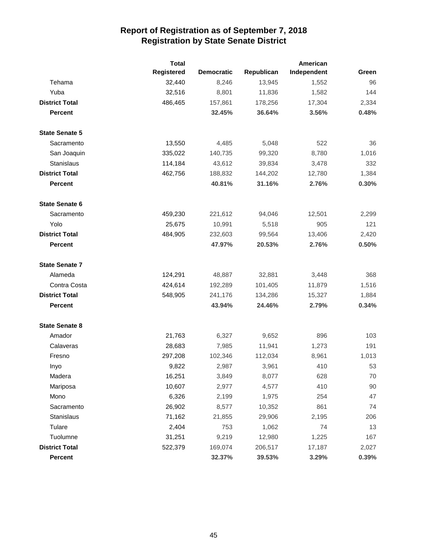|                       | <b>Total</b> |                   |            | American    |        |
|-----------------------|--------------|-------------------|------------|-------------|--------|
|                       | Registered   | <b>Democratic</b> | Republican | Independent | Green  |
| Tehama                | 32,440       | 8,246             | 13,945     | 1,552       | 96     |
| Yuba                  | 32,516       | 8,801             | 11,836     | 1,582       | 144    |
| <b>District Total</b> | 486,465      | 157,861           | 178,256    | 17,304      | 2,334  |
| <b>Percent</b>        |              | 32.45%            | 36.64%     | 3.56%       | 0.48%  |
| <b>State Senate 5</b> |              |                   |            |             |        |
| Sacramento            | 13,550       | 4,485             | 5,048      | 522         | 36     |
| San Joaquin           | 335,022      | 140,735           | 99,320     | 8,780       | 1,016  |
| Stanislaus            | 114,184      | 43,612            | 39,834     | 3,478       | 332    |
| <b>District Total</b> | 462,756      | 188,832           | 144,202    | 12,780      | 1,384  |
| <b>Percent</b>        |              | 40.81%            | 31.16%     | 2.76%       | 0.30%  |
| <b>State Senate 6</b> |              |                   |            |             |        |
| Sacramento            | 459,230      | 221,612           | 94,046     | 12,501      | 2,299  |
| Yolo                  | 25,675       | 10,991            | 5,518      | 905         | 121    |
| <b>District Total</b> | 484,905      | 232,603           | 99,564     | 13,406      | 2,420  |
| <b>Percent</b>        |              | 47.97%            | 20.53%     | 2.76%       | 0.50%  |
| <b>State Senate 7</b> |              |                   |            |             |        |
| Alameda               | 124,291      | 48,887            | 32,881     | 3,448       | 368    |
| Contra Costa          | 424,614      | 192,289           | 101,405    | 11,879      | 1,516  |
| <b>District Total</b> | 548,905      | 241,176           | 134,286    | 15,327      | 1,884  |
| <b>Percent</b>        |              | 43.94%            | 24.46%     | 2.79%       | 0.34%  |
| <b>State Senate 8</b> |              |                   |            |             |        |
| Amador                | 21,763       | 6,327             | 9,652      | 896         | 103    |
| Calaveras             | 28,683       | 7,985             | 11,941     | 1,273       | 191    |
| Fresno                | 297,208      | 102,346           | 112,034    | 8,961       | 1,013  |
| Inyo                  | 9,822        | 2,987             | 3,961      | 410         | 53     |
| Madera                | 16,251       | 3,849             | 8,077      | 628         | 70     |
| Mariposa              | 10,607       | 2,977             | 4,577      | 410         | $90\,$ |
| Mono                  | 6,326        | 2,199             | 1,975      | 254         | 47     |
| Sacramento            | 26,902       | 8,577             | 10,352     | 861         | 74     |
| Stanislaus            | 71,162       | 21,855            | 29,906     | 2,195       | 206    |
| Tulare                | 2,404        | 753               | 1,062      | 74          | 13     |
| Tuolumne              | 31,251       | 9,219             | 12,980     | 1,225       | 167    |
| <b>District Total</b> | 522,379      | 169,074           | 206,517    | 17,187      | 2,027  |
| Percent               |              | 32.37%            | 39.53%     | 3.29%       | 0.39%  |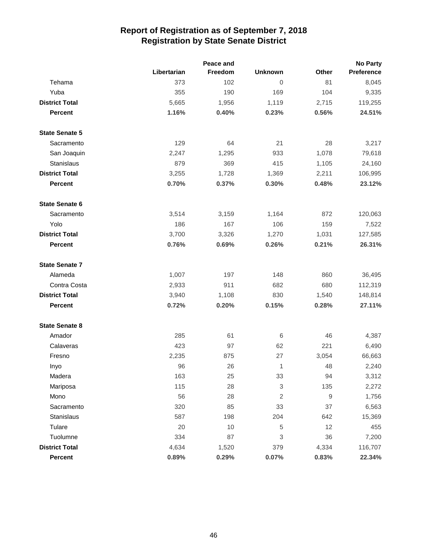|                       |             | Peace and |                |             | <b>No Party</b> |
|-----------------------|-------------|-----------|----------------|-------------|-----------------|
|                       | Libertarian | Freedom   | <b>Unknown</b> | Other       | Preference      |
| Tehama                | 373         | 102       | 0              | 81          | 8,045           |
| Yuba                  | 355         | 190       | 169            | 104         | 9,335           |
| <b>District Total</b> | 5,665       | 1,956     | 1,119          | 2,715       | 119,255         |
| <b>Percent</b>        | 1.16%       | 0.40%     | 0.23%          | 0.56%       | 24.51%          |
| <b>State Senate 5</b> |             |           |                |             |                 |
| Sacramento            | 129         | 64        | 21             | 28          | 3,217           |
| San Joaquin           | 2,247       | 1,295     | 933            | 1,078       | 79,618          |
| Stanislaus            | 879         | 369       | 415            | 1,105       | 24,160          |
| <b>District Total</b> | 3,255       | 1,728     | 1,369          | 2,211       | 106,995         |
| <b>Percent</b>        | 0.70%       | 0.37%     | 0.30%          | 0.48%       | 23.12%          |
| <b>State Senate 6</b> |             |           |                |             |                 |
| Sacramento            | 3,514       | 3,159     | 1,164          | 872         | 120,063         |
| Yolo                  | 186         | 167       | 106            | 159         | 7,522           |
| <b>District Total</b> | 3,700       | 3,326     | 1,270          | 1,031       | 127,585         |
| <b>Percent</b>        | 0.76%       | 0.69%     | 0.26%          | 0.21%       | 26.31%          |
| <b>State Senate 7</b> |             |           |                |             |                 |
| Alameda               | 1,007       | 197       | 148            | 860         | 36,495          |
| Contra Costa          | 2,933       | 911       | 682            | 680         | 112,319         |
| <b>District Total</b> | 3,940       | 1,108     | 830            | 1,540       | 148,814         |
| <b>Percent</b>        | 0.72%       | 0.20%     | 0.15%          | 0.28%       | 27.11%          |
| <b>State Senate 8</b> |             |           |                |             |                 |
| Amador                | 285         | 61        | 6              | 46          | 4,387           |
| Calaveras             | 423         | 97        | 62             | 221         | 6,490           |
| Fresno                | 2,235       | 875       | 27             | 3,054       | 66,663          |
| Inyo                  | 96          | 26        | 1              | 48          | 2,240           |
| Madera                | 163         | 25        | 33             | 94          | 3,312           |
| Mariposa              | 115         | 28        | 3              | 135         | 2,272           |
| Mono                  | 56          | 28        | $\overline{2}$ | $\mathsf 9$ | 1,756           |
| Sacramento            | 320         | 85        | 33             | 37          | 6,563           |
| Stanislaus            | 587         | 198       | 204            | 642         | 15,369          |
| Tulare                | 20          | 10        | $\,$ 5 $\,$    | 12          | 455             |
| Tuolumne              | 334         | 87        | 3              | 36          | 7,200           |
| <b>District Total</b> | 4,634       | 1,520     | 379            | 4,334       | 116,707         |
| Percent               | 0.89%       | 0.29%     | 0.07%          | 0.83%       | 22.34%          |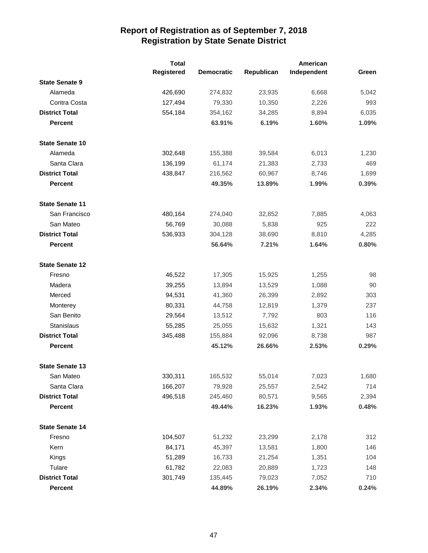|                        | <b>Total</b> |                   |            | American    |       |
|------------------------|--------------|-------------------|------------|-------------|-------|
|                        | Registered   | <b>Democratic</b> | Republican | Independent | Green |
| <b>State Senate 9</b>  |              |                   |            |             |       |
| Alameda                | 426,690      | 274,832           | 23,935     | 6,668       | 5,042 |
| Contra Costa           | 127,494      | 79,330            | 10,350     | 2,226       | 993   |
| <b>District Total</b>  | 554,184      | 354,162           | 34,285     | 8,894       | 6,035 |
| <b>Percent</b>         |              | 63.91%            | 6.19%      | 1.60%       | 1.09% |
| <b>State Senate 10</b> |              |                   |            |             |       |
| Alameda                | 302,648      | 155,388           | 39,584     | 6,013       | 1,230 |
| Santa Clara            | 136,199      | 61,174            | 21,383     | 2,733       | 469   |
| <b>District Total</b>  | 438,847      | 216,562           | 60,967     | 8,746       | 1,699 |
| <b>Percent</b>         |              | 49.35%            | 13.89%     | 1.99%       | 0.39% |
| <b>State Senate 11</b> |              |                   |            |             |       |
| San Francisco          | 480,164      | 274,040           | 32,852     | 7,885       | 4,063 |
| San Mateo              | 56,769       | 30,088            | 5,838      | 925         | 222   |
| <b>District Total</b>  | 536,933      | 304,128           | 38,690     | 8,810       | 4,285 |
| <b>Percent</b>         |              | 56.64%            | 7.21%      | 1.64%       | 0.80% |
| <b>State Senate 12</b> |              |                   |            |             |       |
| Fresno                 | 46,522       | 17,305            | 15,925     | 1,255       | 98    |
| Madera                 | 39,255       | 13,894            | 13,529     | 1,088       | 90    |
| Merced                 | 94,531       | 41,360            | 26,399     | 2,892       | 303   |
| Monterey               | 80,331       | 44,758            | 12,819     | 1,379       | 237   |
| San Benito             | 29,564       | 13,512            | 7,792      | 803         | 116   |
| <b>Stanislaus</b>      | 55,285       | 25,055            | 15,632     | 1,321       | 143   |
| <b>District Total</b>  | 345,488      | 155,884           | 92,096     | 8,738       | 987   |
| <b>Percent</b>         |              | 45.12%            | 26.66%     | 2.53%       | 0.29% |
| <b>State Senate 13</b> |              |                   |            |             |       |
| San Mateo              | 330,311      | 165,532           | 55,014     | 7,023       | 1,680 |
| Santa Clara            | 166,207      | 79,928            | 25,557     | 2,542       | 714   |
| <b>District Total</b>  | 496,518      | 245,460           | 80,571     | 9,565       | 2,394 |
| Percent                |              | 49.44%            | 16.23%     | 1.93%       | 0.48% |
| <b>State Senate 14</b> |              |                   |            |             |       |
| Fresno                 | 104,507      | 51,232            | 23,299     | 2,178       | 312   |
| Kern                   | 84,171       | 45,397            | 13,581     | 1,800       | 146   |
| Kings                  | 51,289       | 16,733            | 21,254     | 1,351       | 104   |
| Tulare                 | 61,782       | 22,083            | 20,889     | 1,723       | 148   |
| <b>District Total</b>  | 301,749      | 135,445           | 79,023     | 7,052       | 710   |
| Percent                |              | 44.89%            | 26.19%     | 2.34%       | 0.24% |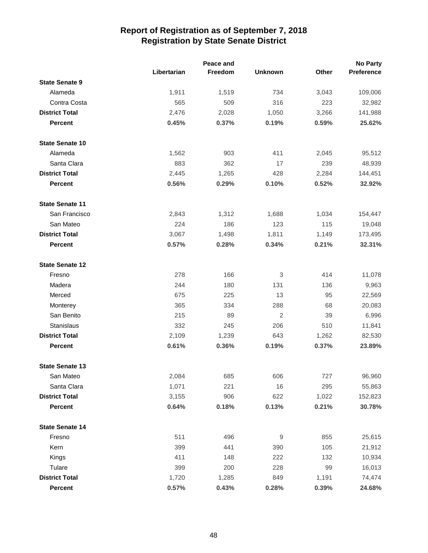|                        |             | Peace and |                |              | <b>No Party</b> |
|------------------------|-------------|-----------|----------------|--------------|-----------------|
|                        | Libertarian | Freedom   | <b>Unknown</b> | <b>Other</b> | Preference      |
| <b>State Senate 9</b>  |             |           |                |              |                 |
| Alameda                | 1,911       | 1,519     | 734            | 3,043        | 109,006         |
| Contra Costa           | 565         | 509       | 316            | 223          | 32,982          |
| <b>District Total</b>  | 2,476       | 2,028     | 1,050          | 3,266        | 141,988         |
| <b>Percent</b>         | 0.45%       | 0.37%     | 0.19%          | 0.59%        | 25.62%          |
| <b>State Senate 10</b> |             |           |                |              |                 |
| Alameda                | 1,562       | 903       | 411            | 2,045        | 95,512          |
| Santa Clara            | 883         | 362       | 17             | 239          | 48,939          |
| <b>District Total</b>  | 2,445       | 1,265     | 428            | 2,284        | 144,451         |
| <b>Percent</b>         | 0.56%       | 0.29%     | 0.10%          | 0.52%        | 32.92%          |
| <b>State Senate 11</b> |             |           |                |              |                 |
| San Francisco          | 2,843       | 1,312     | 1,688          | 1,034        | 154,447         |
| San Mateo              | 224         | 186       | 123            | 115          | 19,048          |
| <b>District Total</b>  | 3,067       | 1,498     | 1,811          | 1,149        | 173,495         |
| <b>Percent</b>         | 0.57%       | 0.28%     | 0.34%          | 0.21%        | 32.31%          |
| <b>State Senate 12</b> |             |           |                |              |                 |
| Fresno                 | 278         | 166       | 3              | 414          | 11,078          |
| Madera                 | 244         | 180       | 131            | 136          | 9,963           |
| Merced                 | 675         | 225       | 13             | 95           | 22,569          |
| Monterey               | 365         | 334       | 288            | 68           | 20,083          |
| San Benito             | 215         | 89        | $\overline{2}$ | 39           | 6,996           |
| Stanislaus             | 332         | 245       | 206            | 510          | 11,841          |
| <b>District Total</b>  | 2,109       | 1,239     | 643            | 1,262        | 82,530          |
| <b>Percent</b>         | 0.61%       | 0.36%     | 0.19%          | 0.37%        | 23.89%          |
| <b>State Senate 13</b> |             |           |                |              |                 |
| San Mateo              | 2,084       | 685       | 606            | 727          | 96,960          |
| Santa Clara            | 1,071       | 221       | 16             | 295          | 55,863          |
| <b>District Total</b>  | 3,155       | 906       | 622            | 1,022        | 152,823         |
| <b>Percent</b>         | 0.64%       | 0.18%     | 0.13%          | 0.21%        | 30.78%          |
| <b>State Senate 14</b> |             |           |                |              |                 |
| Fresno                 | 511         | 496       | 9              | 855          | 25,615          |
| Kern                   | 399         | 441       | 390            | 105          | 21,912          |
| Kings                  | 411         | 148       | 222            | 132          | 10,934          |
| Tulare                 | 399         | 200       | 228            | 99           | 16,013          |
| <b>District Total</b>  | 1,720       | 1,285     | 849            | 1,191        | 74,474          |
| Percent                | 0.57%       | 0.43%     | 0.28%          | 0.39%        | 24.68%          |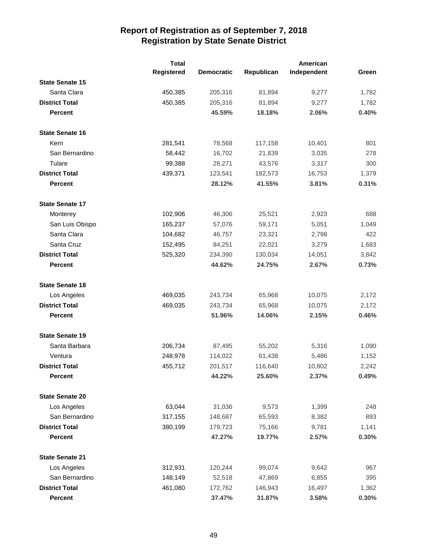|                        | <b>Total</b>      |                   | American   |             |       |
|------------------------|-------------------|-------------------|------------|-------------|-------|
|                        | <b>Registered</b> | <b>Democratic</b> | Republican | Independent | Green |
| <b>State Senate 15</b> |                   |                   |            |             |       |
| Santa Clara            | 450,385           | 205,316           | 81,894     | 9,277       | 1,782 |
| <b>District Total</b>  | 450,385           | 205,316           | 81,894     | 9,277       | 1,782 |
| <b>Percent</b>         |                   | 45.59%            | 18.18%     | 2.06%       | 0.40% |
| <b>State Senate 16</b> |                   |                   |            |             |       |
| Kern                   | 281,541           | 78,568            | 117,158    | 10,401      | 801   |
| San Bernardino         | 58,442            | 16,702            | 21,839     | 3,035       | 278   |
| Tulare                 | 99,388            | 28,271            | 43,576     | 3,317       | 300   |
| <b>District Total</b>  | 439,371           | 123,541           | 182,573    | 16,753      | 1,379 |
| <b>Percent</b>         |                   | 28.12%            | 41.55%     | 3.81%       | 0.31% |
| <b>State Senate 17</b> |                   |                   |            |             |       |
| Monterey               | 102,906           | 46,306            | 25,521     | 2,923       | 688   |
| San Luis Obispo        | 165,237           | 57,076            | 59,171     | 5,051       | 1,049 |
| Santa Clara            | 104,682           | 46,757            | 23,321     | 2,798       | 422   |
| Santa Cruz             | 152,495           | 84,251            | 22,021     | 3,279       | 1,683 |
| <b>District Total</b>  | 525,320           | 234,390           | 130,034    | 14,051      | 3,842 |
| <b>Percent</b>         |                   | 44.62%            | 24.75%     | 2.67%       | 0.73% |
| <b>State Senate 18</b> |                   |                   |            |             |       |
| Los Angeles            | 469,035           | 243,734           | 65,968     | 10,075      | 2,172 |
| <b>District Total</b>  | 469,035           | 243,734           | 65,968     | 10,075      | 2,172 |
| <b>Percent</b>         |                   | 51.96%            | 14.06%     | 2.15%       | 0.46% |
| <b>State Senate 19</b> |                   |                   |            |             |       |
| Santa Barbara          | 206,734           | 87,495            | 55,202     | 5,316       | 1,090 |
| Ventura                | 248,978           | 114,022           | 61,438     | 5,486       | 1,152 |
| <b>District Total</b>  | 455,712           | 201,517           | 116,640    | 10,802      | 2,242 |
| Percent                |                   | 44.22%            | 25.60%     | 2.37%       | 0.49% |
| <b>State Senate 20</b> |                   |                   |            |             |       |
| Los Angeles            | 63,044            | 31,036            | 9,573      | 1,399       | 248   |
| San Bernardino         | 317,155           | 148,687           | 65,593     | 8,382       | 893   |
| <b>District Total</b>  | 380,199           | 179,723           | 75,166     | 9,781       | 1,141 |
| <b>Percent</b>         |                   | 47.27%            | 19.77%     | 2.57%       | 0.30% |
| <b>State Senate 21</b> |                   |                   |            |             |       |
| Los Angeles            | 312,931           | 120,244           | 99,074     | 9,642       | 967   |
| San Bernardino         | 148,149           | 52,518            | 47,869     | 6,855       | 395   |
| <b>District Total</b>  | 461,080           | 172,762           | 146,943    | 16,497      | 1,362 |
| <b>Percent</b>         |                   | 37.47%            | 31.87%     | 3.58%       | 0.30% |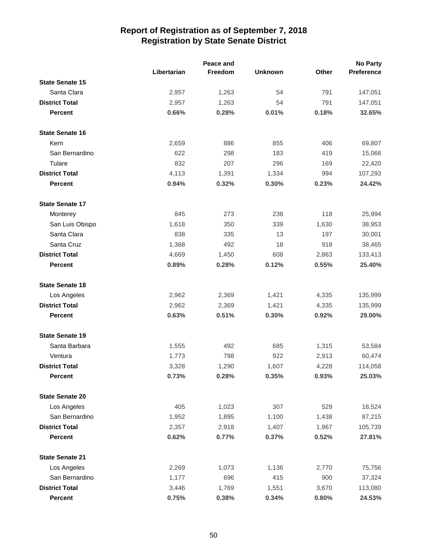|                        |             | Peace and |                |       | <b>No Party</b> |
|------------------------|-------------|-----------|----------------|-------|-----------------|
|                        | Libertarian | Freedom   | <b>Unknown</b> | Other | Preference      |
| <b>State Senate 15</b> |             |           |                |       |                 |
| Santa Clara            | 2,957       | 1,263     | 54             | 791   | 147,051         |
| <b>District Total</b>  | 2,957       | 1,263     | 54             | 791   | 147,051         |
| <b>Percent</b>         | 0.66%       | 0.28%     | 0.01%          | 0.18% | 32.65%          |
| <b>State Senate 16</b> |             |           |                |       |                 |
| Kern                   | 2,659       | 886       | 855            | 406   | 69,807          |
| San Bernardino         | 622         | 298       | 183            | 419   | 15,066          |
| Tulare                 | 832         | 207       | 296            | 169   | 22,420          |
| <b>District Total</b>  | 4,113       | 1,391     | 1,334          | 994   | 107,293         |
| <b>Percent</b>         | 0.94%       | 0.32%     | 0.30%          | 0.23% | 24.42%          |
| <b>State Senate 17</b> |             |           |                |       |                 |
| Monterey               | 845         | 273       | 238            | 118   | 25,994          |
| San Luis Obispo        | 1,618       | 350       | 339            | 1,630 | 38,953          |
| Santa Clara            | 838         | 335       | 13             | 197   | 30,001          |
| Santa Cruz             | 1,368       | 492       | 18             | 918   | 38,465          |
| <b>District Total</b>  | 4,669       | 1,450     | 608            | 2,863 | 133,413         |
| <b>Percent</b>         | 0.89%       | 0.28%     | 0.12%          | 0.55% | 25.40%          |
| <b>State Senate 18</b> |             |           |                |       |                 |
| Los Angeles            | 2,962       | 2,369     | 1,421          | 4,335 | 135,999         |
| <b>District Total</b>  | 2,962       | 2,369     | 1,421          | 4,335 | 135,999         |
| <b>Percent</b>         | 0.63%       | 0.51%     | 0.30%          | 0.92% | 29.00%          |
| <b>State Senate 19</b> |             |           |                |       |                 |
| Santa Barbara          | 1,555       | 492       | 685            | 1,315 | 53,584          |
| Ventura                | 1,773       | 798       | 922            | 2,913 | 60,474          |
| <b>District Total</b>  | 3,328       | 1,290     | 1,607          | 4,228 | 114,058         |
| <b>Percent</b>         | 0.73%       | 0.28%     | 0.35%          | 0.93% | 25.03%          |
| <b>State Senate 20</b> |             |           |                |       |                 |
| Los Angeles            | 405         | 1,023     | 307            | 529   | 18,524          |
| San Bernardino         | 1,952       | 1,895     | 1,100          | 1,438 | 87,215          |
| <b>District Total</b>  | 2,357       | 2,918     | 1,407          | 1,967 | 105,739         |
| <b>Percent</b>         | 0.62%       | 0.77%     | 0.37%          | 0.52% | 27.81%          |
| <b>State Senate 21</b> |             |           |                |       |                 |
| Los Angeles            | 2,269       | 1,073     | 1,136          | 2,770 | 75,756          |
| San Bernardino         | 1,177       | 696       | 415            | 900   | 37,324          |
| <b>District Total</b>  | 3,446       | 1,769     | 1,551          | 3,670 | 113,080         |
| Percent                | 0.75%       | 0.38%     | 0.34%          | 0.80% | 24.53%          |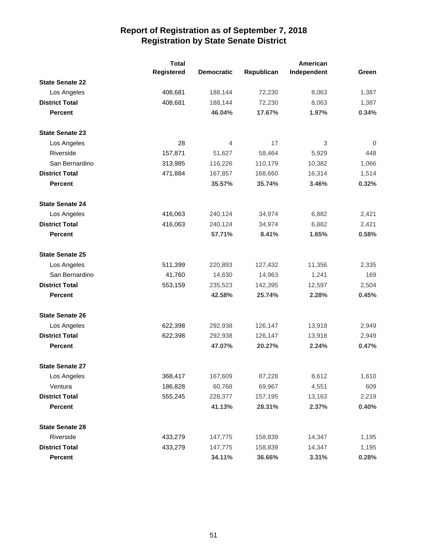|                        | <b>Total</b> |                   | American   |             |                |
|------------------------|--------------|-------------------|------------|-------------|----------------|
|                        | Registered   | <b>Democratic</b> | Republican | Independent | Green          |
| <b>State Senate 22</b> |              |                   |            |             |                |
| Los Angeles            | 408,681      | 188,144           | 72,230     | 8,063       | 1,387          |
| <b>District Total</b>  | 408,681      | 188,144           | 72,230     | 8,063       | 1,387          |
| <b>Percent</b>         |              | 46.04%            | 17.67%     | 1.97%       | 0.34%          |
| <b>State Senate 23</b> |              |                   |            |             |                |
| Los Angeles            | 28           | 4                 | 17         | 3           | $\overline{0}$ |
| Riverside              | 157,871      | 51,627            | 58,464     | 5,929       | 448            |
| San Bernardino         | 313,985      | 116,226           | 110,179    | 10,382      | 1,066          |
| <b>District Total</b>  | 471,884      | 167,857           | 168,660    | 16,314      | 1,514          |
| <b>Percent</b>         |              | 35.57%            | 35.74%     | 3.46%       | 0.32%          |
| <b>State Senate 24</b> |              |                   |            |             |                |
| Los Angeles            | 416,063      | 240,124           | 34,974     | 6,882       | 2,421          |
| <b>District Total</b>  | 416,063      | 240,124           | 34,974     | 6,882       | 2,421          |
| <b>Percent</b>         |              | 57.71%            | 8.41%      | 1.65%       | 0.58%          |
| <b>State Senate 25</b> |              |                   |            |             |                |
| Los Angeles            | 511,399      | 220,893           | 127,432    | 11,356      | 2,335          |
| San Bernardino         | 41,760       | 14,630            | 14,963     | 1,241       | 169            |
| <b>District Total</b>  | 553,159      | 235,523           | 142,395    | 12,597      | 2,504          |
| <b>Percent</b>         |              | 42.58%            | 25.74%     | 2.28%       | 0.45%          |
| <b>State Senate 26</b> |              |                   |            |             |                |
| Los Angeles            | 622,398      | 292,938           | 126,147    | 13,918      | 2,949          |
| <b>District Total</b>  | 622,398      | 292,938           | 126,147    | 13,918      | 2,949          |
| <b>Percent</b>         |              | 47.07%            | 20.27%     | 2.24%       | 0.47%          |
| <b>State Senate 27</b> |              |                   |            |             |                |
| Los Angeles            | 368,417      | 167,609           | 87,228     | 8,612       | 1,610          |
| Ventura                | 186,828      | 60,768            | 69,967     | 4,551       | 609            |
| <b>District Total</b>  | 555,245      | 228,377           | 157,195    | 13,163      | 2,219          |
| <b>Percent</b>         |              | 41.13%            | 28.31%     | 2.37%       | 0.40%          |
| <b>State Senate 28</b> |              |                   |            |             |                |
| Riverside              | 433,279      | 147,775           | 158,839    | 14,347      | 1,195          |
| <b>District Total</b>  | 433,279      | 147,775           | 158,839    | 14,347      | 1,195          |
| Percent                |              | 34.11%            | 36.66%     | 3.31%       | 0.28%          |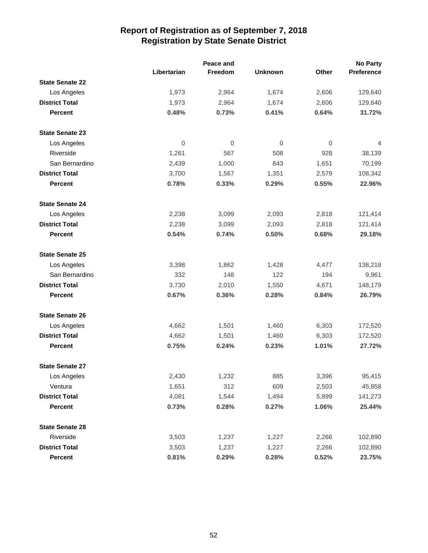|                        |             | Peace and |                |                  | <b>No Party</b> |
|------------------------|-------------|-----------|----------------|------------------|-----------------|
|                        | Libertarian | Freedom   | <b>Unknown</b> | Other            | Preference      |
| <b>State Senate 22</b> |             |           |                |                  |                 |
| Los Angeles            | 1,973       | 2,964     | 1,674          | 2,606            | 129,640         |
| <b>District Total</b>  | 1,973       | 2,964     | 1,674          | 2,606            | 129,640         |
| <b>Percent</b>         | 0.48%       | 0.73%     | 0.41%          | 0.64%            | 31.72%          |
| <b>State Senate 23</b> |             |           |                |                  |                 |
| Los Angeles            | $\mathbf 0$ | 0         | 0              | $\boldsymbol{0}$ | 4               |
| Riverside              | 1,261       | 567       | 508            | 928              | 38,139          |
| San Bernardino         | 2,439       | 1,000     | 843            | 1,651            | 70,199          |
| <b>District Total</b>  | 3,700       | 1,567     | 1,351          | 2,579            | 108,342         |
| <b>Percent</b>         | 0.78%       | 0.33%     | 0.29%          | 0.55%            | 22.96%          |
| <b>State Senate 24</b> |             |           |                |                  |                 |
| Los Angeles            | 2,238       | 3,099     | 2,093          | 2,818            | 121,414         |
| <b>District Total</b>  | 2,238       | 3,099     | 2,093          | 2,818            | 121,414         |
| <b>Percent</b>         | 0.54%       | 0.74%     | 0.50%          | 0.68%            | 29.18%          |
| <b>State Senate 25</b> |             |           |                |                  |                 |
| Los Angeles            | 3,398       | 1,862     | 1,428          | 4,477            | 138,218         |
| San Bernardino         | 332         | 148       | 122            | 194              | 9,961           |
| <b>District Total</b>  | 3,730       | 2,010     | 1,550          | 4,671            | 148,179         |
| <b>Percent</b>         | 0.67%       | 0.36%     | 0.28%          | 0.84%            | 26.79%          |
| <b>State Senate 26</b> |             |           |                |                  |                 |
| Los Angeles            | 4,662       | 1,501     | 1,460          | 6,303            | 172,520         |
| <b>District Total</b>  | 4,662       | 1,501     | 1,460          | 6,303            | 172,520         |
| <b>Percent</b>         | 0.75%       | 0.24%     | 0.23%          | 1.01%            | 27.72%          |
| <b>State Senate 27</b> |             |           |                |                  |                 |
| Los Angeles            | 2,430       | 1,232     | 885            | 3,396            | 95,415          |
| Ventura                | 1,651       | 312       | 609            | 2,503            | 45,858          |
| <b>District Total</b>  | 4,081       | 1,544     | 1,494          | 5,899            | 141,273         |
| <b>Percent</b>         | 0.73%       | 0.28%     | 0.27%          | 1.06%            | 25.44%          |
| <b>State Senate 28</b> |             |           |                |                  |                 |
| Riverside              | 3,503       | 1,237     | 1,227          | 2,266            | 102,890         |
| <b>District Total</b>  | 3,503       | 1,237     | 1,227          | 2,266            | 102,890         |
| Percent                | 0.81%       | 0.29%     | 0.28%          | 0.52%            | 23.75%          |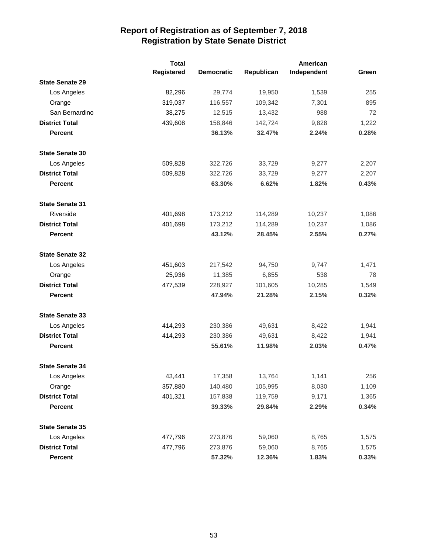|                        | <b>Total</b> |                   |            | American    |       |
|------------------------|--------------|-------------------|------------|-------------|-------|
|                        | Registered   | <b>Democratic</b> | Republican | Independent | Green |
| <b>State Senate 29</b> |              |                   |            |             |       |
| Los Angeles            | 82,296       | 29,774            | 19,950     | 1,539       | 255   |
| Orange                 | 319,037      | 116,557           | 109,342    | 7,301       | 895   |
| San Bernardino         | 38,275       | 12,515            | 13,432     | 988         | 72    |
| <b>District Total</b>  | 439,608      | 158,846           | 142,724    | 9,828       | 1,222 |
| <b>Percent</b>         |              | 36.13%            | 32.47%     | 2.24%       | 0.28% |
| <b>State Senate 30</b> |              |                   |            |             |       |
| Los Angeles            | 509,828      | 322,726           | 33,729     | 9,277       | 2,207 |
| <b>District Total</b>  | 509,828      | 322,726           | 33,729     | 9,277       | 2,207 |
| <b>Percent</b>         |              | 63.30%            | 6.62%      | 1.82%       | 0.43% |
| <b>State Senate 31</b> |              |                   |            |             |       |
| Riverside              | 401,698      | 173,212           | 114,289    | 10,237      | 1,086 |
| <b>District Total</b>  | 401,698      | 173,212           | 114,289    | 10,237      | 1,086 |
| <b>Percent</b>         |              | 43.12%            | 28.45%     | 2.55%       | 0.27% |
| <b>State Senate 32</b> |              |                   |            |             |       |
| Los Angeles            | 451,603      | 217,542           | 94,750     | 9,747       | 1,471 |
| Orange                 | 25,936       | 11,385            | 6,855      | 538         | 78    |
| <b>District Total</b>  | 477,539      | 228,927           | 101,605    | 10,285      | 1,549 |
| <b>Percent</b>         |              | 47.94%            | 21.28%     | 2.15%       | 0.32% |
| <b>State Senate 33</b> |              |                   |            |             |       |
| Los Angeles            | 414,293      | 230,386           | 49,631     | 8,422       | 1,941 |
| <b>District Total</b>  | 414,293      | 230,386           | 49,631     | 8,422       | 1,941 |
| <b>Percent</b>         |              | 55.61%            | 11.98%     | 2.03%       | 0.47% |
| <b>State Senate 34</b> |              |                   |            |             |       |
| Los Angeles            | 43,441       | 17,358            | 13,764     | 1,141       | 256   |
| Orange                 | 357,880      | 140,480           | 105,995    | 8,030       | 1,109 |
| <b>District Total</b>  | 401,321      | 157,838           | 119,759    | 9,171       | 1,365 |
| <b>Percent</b>         |              | 39.33%            | 29.84%     | 2.29%       | 0.34% |
| <b>State Senate 35</b> |              |                   |            |             |       |
| Los Angeles            | 477,796      | 273,876           | 59,060     | 8,765       | 1,575 |
| <b>District Total</b>  | 477,796      | 273,876           | 59,060     | 8,765       | 1,575 |
| Percent                |              | 57.32%            | 12.36%     | 1.83%       | 0.33% |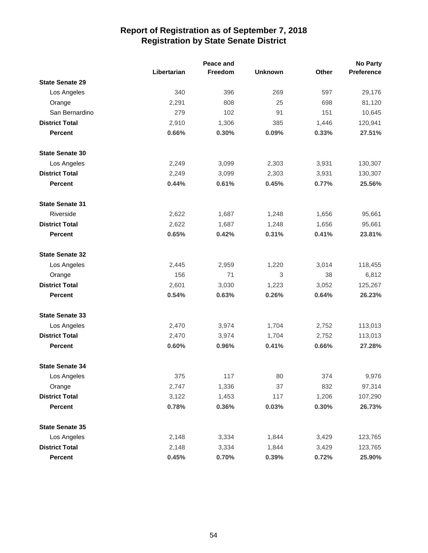|                        |             | Peace and |                |       | <b>No Party</b> |
|------------------------|-------------|-----------|----------------|-------|-----------------|
|                        | Libertarian | Freedom   | <b>Unknown</b> | Other | Preference      |
| <b>State Senate 29</b> |             |           |                |       |                 |
| Los Angeles            | 340         | 396       | 269            | 597   | 29,176          |
| Orange                 | 2,291       | 808       | 25             | 698   | 81,120          |
| San Bernardino         | 279         | 102       | 91             | 151   | 10,645          |
| <b>District Total</b>  | 2,910       | 1,306     | 385            | 1,446 | 120,941         |
| <b>Percent</b>         | 0.66%       | 0.30%     | 0.09%          | 0.33% | 27.51%          |
| <b>State Senate 30</b> |             |           |                |       |                 |
| Los Angeles            | 2,249       | 3,099     | 2,303          | 3,931 | 130,307         |
| <b>District Total</b>  | 2,249       | 3,099     | 2,303          | 3,931 | 130,307         |
| Percent                | 0.44%       | 0.61%     | 0.45%          | 0.77% | 25.56%          |
| <b>State Senate 31</b> |             |           |                |       |                 |
| Riverside              | 2,622       | 1,687     | 1,248          | 1,656 | 95,661          |
| <b>District Total</b>  | 2,622       | 1,687     | 1,248          | 1,656 | 95,661          |
| <b>Percent</b>         | 0.65%       | 0.42%     | 0.31%          | 0.41% | 23.81%          |
| <b>State Senate 32</b> |             |           |                |       |                 |
| Los Angeles            | 2,445       | 2,959     | 1,220          | 3,014 | 118,455         |
| Orange                 | 156         | 71        | 3              | 38    | 6,812           |
| <b>District Total</b>  | 2,601       | 3,030     | 1,223          | 3,052 | 125,267         |
| <b>Percent</b>         | 0.54%       | 0.63%     | 0.26%          | 0.64% | 26.23%          |
| <b>State Senate 33</b> |             |           |                |       |                 |
| Los Angeles            | 2,470       | 3,974     | 1,704          | 2,752 | 113,013         |
| <b>District Total</b>  | 2,470       | 3,974     | 1,704          | 2,752 | 113,013         |
| <b>Percent</b>         | 0.60%       | 0.96%     | 0.41%          | 0.66% | 27.28%          |
| <b>State Senate 34</b> |             |           |                |       |                 |
| Los Angeles            | 375         | 117       | 80             | 374   | 9,976           |
| Orange                 | 2,747       | 1,336     | 37             | 832   | 97,314          |
| <b>District Total</b>  | 3,122       | 1,453     | 117            | 1,206 | 107,290         |
| Percent                | 0.78%       | 0.36%     | 0.03%          | 0.30% | 26.73%          |
| <b>State Senate 35</b> |             |           |                |       |                 |
| Los Angeles            | 2,148       | 3,334     | 1,844          | 3,429 | 123,765         |
| <b>District Total</b>  | 2,148       | 3,334     | 1,844          | 3,429 | 123,765         |
| Percent                | 0.45%       | 0.70%     | 0.39%          | 0.72% | 25.90%          |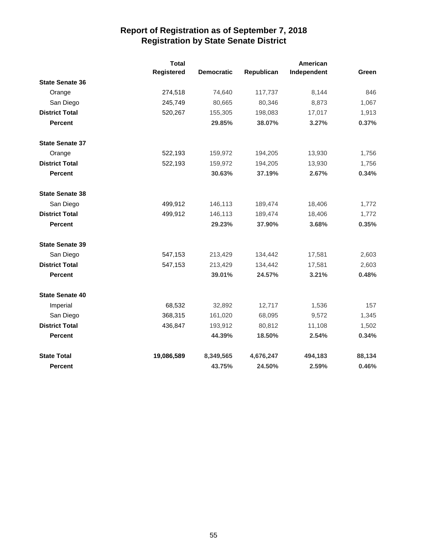|                        | <b>Total</b> |                   |            | <b>American</b> |        |
|------------------------|--------------|-------------------|------------|-----------------|--------|
|                        | Registered   | <b>Democratic</b> | Republican | Independent     | Green  |
| <b>State Senate 36</b> |              |                   |            |                 |        |
| Orange                 | 274,518      | 74,640            | 117,737    | 8,144           | 846    |
| San Diego              | 245,749      | 80,665            | 80,346     | 8,873           | 1,067  |
| <b>District Total</b>  | 520,267      | 155,305           | 198,083    | 17,017          | 1,913  |
| <b>Percent</b>         |              | 29.85%            | 38.07%     | 3.27%           | 0.37%  |
| <b>State Senate 37</b> |              |                   |            |                 |        |
| Orange                 | 522,193      | 159,972           | 194,205    | 13,930          | 1,756  |
| <b>District Total</b>  | 522,193      | 159,972           | 194,205    | 13,930          | 1,756  |
| <b>Percent</b>         |              | 30.63%            | 37.19%     | 2.67%           | 0.34%  |
| <b>State Senate 38</b> |              |                   |            |                 |        |
| San Diego              | 499,912      | 146,113           | 189,474    | 18,406          | 1,772  |
| <b>District Total</b>  | 499,912      | 146,113           | 189,474    | 18,406          | 1,772  |
| <b>Percent</b>         |              | 29.23%            | 37.90%     | 3.68%           | 0.35%  |
| <b>State Senate 39</b> |              |                   |            |                 |        |
| San Diego              | 547,153      | 213,429           | 134,442    | 17,581          | 2,603  |
| <b>District Total</b>  | 547,153      | 213,429           | 134,442    | 17,581          | 2,603  |
| <b>Percent</b>         |              | 39.01%            | 24.57%     | 3.21%           | 0.48%  |
| <b>State Senate 40</b> |              |                   |            |                 |        |
| Imperial               | 68,532       | 32,892            | 12,717     | 1,536           | 157    |
| San Diego              | 368,315      | 161,020           | 68,095     | 9,572           | 1,345  |
| <b>District Total</b>  | 436,847      | 193,912           | 80,812     | 11,108          | 1,502  |
| <b>Percent</b>         |              | 44.39%            | 18.50%     | 2.54%           | 0.34%  |
| <b>State Total</b>     | 19,086,589   | 8,349,565         | 4,676,247  | 494,183         | 88,134 |
| Percent                |              | 43.75%            | 24.50%     | 2.59%           | 0.46%  |